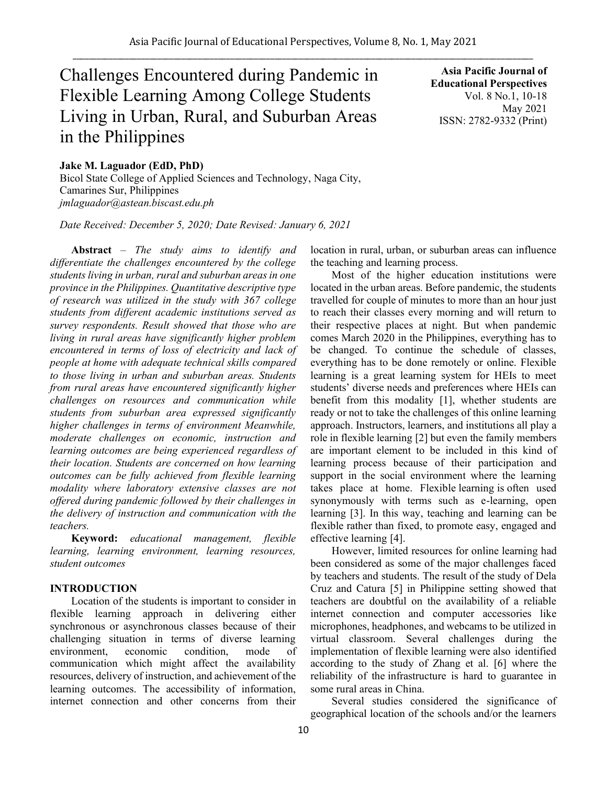# Challenges Encountered during Pandemic in Flexible Learning Among College Students Living in Urban, Rural, and Suburban Areas in the Philippines

**Asia Pacific Journal of Educational Perspectives**  Vol. 8 No.1, 10-18 May 2021 ISSN: 2782-9332 (Print)

# **Jake M. Laguador (EdD, PhD)**

Bicol State College of Applied Sciences and Technology, Naga City, Camarines Sur, Philippines *jmlaguador@astean.biscast.edu.ph*

*Date Received: December 5, 2020; Date Revised: January 6, 2021*

**Abstract** – *The study aims to identify and differentiate the challenges encountered by the college students living in urban, rural and suburban areas in one province in the Philippines. Quantitative descriptive type of research was utilized in the study with 367 college students from different academic institutions served as survey respondents. Result showed that those who are living in rural areas have significantly higher problem encountered in terms of loss of electricity and lack of people at home with adequate technical skills compared to those living in urban and suburban areas. Students from rural areas have encountered significantly higher challenges on resources and communication while students from suburban area expressed significantly higher challenges in terms of environment Meanwhile, moderate challenges on economic, instruction and learning outcomes are being experienced regardless of their location. Students are concerned on how learning outcomes can be fully achieved from flexible learning modality where laboratory extensive classes are not offered during pandemic followed by their challenges in the delivery of instruction and communication with the teachers.* 

**Keyword:** *educational management, flexible learning, learning environment, learning resources, student outcomes*

# **INTRODUCTION**

Location of the students is important to consider in flexible learning approach in delivering either synchronous or asynchronous classes because of their challenging situation in terms of diverse learning environment, economic condition, mode of communication which might affect the availability resources, delivery of instruction, and achievement of the learning outcomes. The accessibility of information, internet connection and other concerns from their location in rural, urban, or suburban areas can influence the teaching and learning process.

Most of the higher education institutions were located in the urban areas. Before pandemic, the students travelled for couple of minutes to more than an hour just to reach their classes every morning and will return to their respective places at night. But when pandemic comes March 2020 in the Philippines, everything has to be changed. To continue the schedule of classes, everything has to be done remotely or online. Flexible learning is a great learning system for HEIs to meet students' diverse needs and preferences where HEIs can benefit from this modality [1], whether students are ready or not to take the challenges of this online learning approach. Instructors, learners, and institutions all play a role in flexible learning [2] but even the family members are important element to be included in this kind of learning process because of their participation and support in the social environment where the learning takes place at home. Flexible learning is often used synonymously with terms such as e-learning, open learning [3]. In this way, teaching and learning can be flexible rather than fixed, to promote easy, engaged and effective learning [4].

However, limited resources for online learning had been considered as some of the major challenges faced by teachers and students. The result of the study of Dela Cruz and Catura [5] in Philippine setting showed that teachers are doubtful on the availability of a reliable internet connection and computer accessories like microphones, headphones, and webcams to be utilized in virtual classroom. Several challenges during the implementation of flexible learning were also identified according to the study of Zhang et al. [6] where the reliability of the infrastructure is hard to guarantee in some rural areas in China.

Several studies considered the significance of geographical location of the schools and/or the learners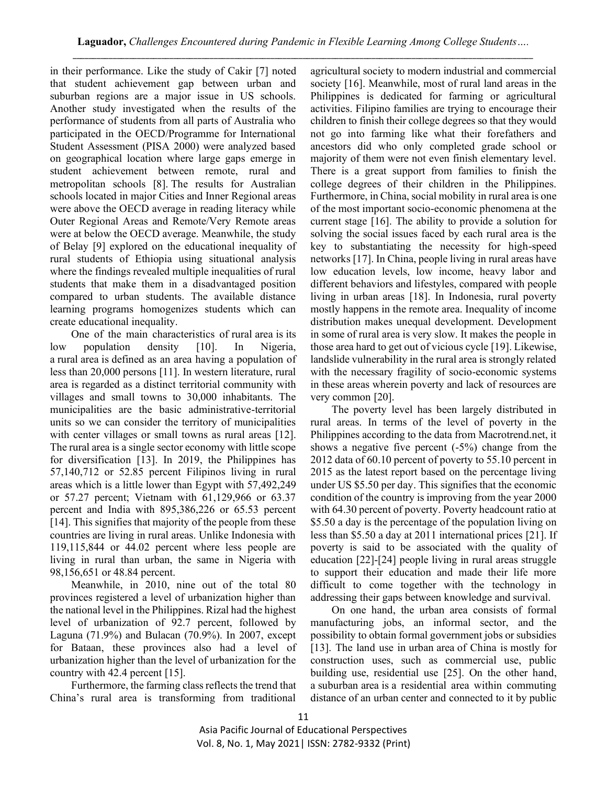in their performance. Like the study of Cakir [7] noted that student achievement gap between urban and suburban regions are a major issue in US schools. Another study investigated when the results of the performance of students from all parts of Australia who participated in the OECD/Programme for International Student Assessment (PISA 2000) were analyzed based on geographical location where large gaps emerge in student achievement between remote, rural and metropolitan schools [8]. The results for Australian schools located in major Cities and Inner Regional areas were above the OECD average in reading literacy while Outer Regional Areas and Remote/Very Remote areas were at below the OECD average. Meanwhile, the study of Belay [9] explored on the educational inequality of rural students of Ethiopia using situational analysis where the findings revealed multiple inequalities of rural students that make them in a disadvantaged position compared to urban students. The available distance learning programs homogenizes students which can create educational inequality.

One of the main characteristics of rural area is its low population density [10]. In Nigeria, a rural area is defined as an area having a population of less than 20,000 persons [11]. In western literature, rural area is regarded as a distinct territorial community with villages and small towns to 30,000 inhabitants. The municipalities are the basic administrative-territorial units so we can consider the territory of municipalities with center villages or small towns as rural areas [12]. The rural area is a single sector economy with little scope for diversification [13]. In 2019, the Philippines has 57,140,712 or 52.85 percent Filipinos living in rural areas which is a little lower than Egypt with 57,492,249 or 57.27 percent; Vietnam with 61,129,966 or 63.37 percent and India with 895,386,226 or 65.53 percent [14]. This signifies that majority of the people from these countries are living in rural areas. Unlike Indonesia with 119,115,844 or 44.02 percent where less people are living in rural than urban, the same in Nigeria with 98,156,651 or 48.84 percent.

Meanwhile, in 2010, nine out of the total 80 provinces registered a level of urbanization higher than the national level in the Philippines. Rizal had the highest level of urbanization of 92.7 percent, followed by Laguna (71.9%) and Bulacan (70.9%). In 2007, except for Bataan, these provinces also had a level of urbanization higher than the level of urbanization for the country with 42.4 percent [15].

Furthermore, the farming class reflects the trend that China's rural area is transforming from traditional

agricultural society to modern industrial and commercial society [16]. Meanwhile, most of rural land areas in the Philippines is dedicated for farming or agricultural activities. Filipino families are trying to encourage their children to finish their college degrees so that they would not go into farming like what their forefathers and ancestors did who only completed grade school or majority of them were not even finish elementary level. There is a great support from families to finish the college degrees of their children in the Philippines. Furthermore, in China, social mobility in rural area is one of the most important socio-economic phenomena at the current stage [16]. The ability to provide a solution for solving the social issues faced by each rural area is the key to substantiating the necessity for high-speed networks [17]. In China, people living in rural areas have low education levels, low income, heavy labor and different behaviors and lifestyles, compared with people living in urban areas [18]. In Indonesia, rural poverty mostly happens in the remote area. Inequality of income distribution makes unequal development. Development in some of rural area is very slow. It makes the people in those area hard to get out of vicious cycle [19]. Likewise, landslide vulnerability in the rural area is strongly related with the necessary fragility of socio-economic systems in these areas wherein poverty and lack of resources are very common [20].

The poverty level has been largely distributed in rural areas. In terms of the level of poverty in the Philippines according to the data from Macrotrend.net, it shows a negative five percent (-5%) change from the 2012 data of 60.10 percent of poverty to 55.10 percent in 2015 as the latest report based on the percentage living under US \$5.50 per day. This signifies that the economic condition of the country is improving from the year 2000 with 64.30 percent of poverty. Poverty headcount ratio at \$5.50 a day is the percentage of the population living on less than \$5.50 a day at 2011 international prices [21]. If poverty is said to be associated with the quality of education [22]-[24] people living in rural areas struggle to support their education and made their life more difficult to come together with the technology in addressing their gaps between knowledge and survival.

On one hand, the urban area consists of formal manufacturing jobs, an informal sector, and the possibility to obtain formal government jobs or subsidies [13]. The land use in urban area of China is mostly for construction uses, such as commercial use, public building use, residential use [25]. On the other hand, a suburban area is a residential area within commuting distance of an urban center and connected to it by public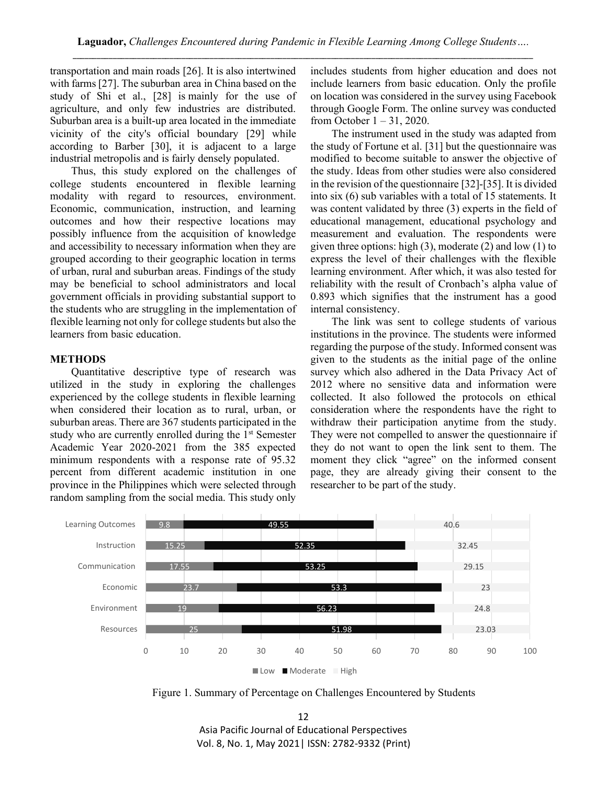transportation and main roads [26]. It is also intertwined with farms [27]. The suburban area in China based on the study of Shi et al., [28] is mainly for the use of agriculture, and only few industries are distributed. Suburban area is a built-up area located in the immediate vicinity of the city's official boundary [29] while according to Barber [30], it is adjacent to a large industrial metropolis and is fairly densely populated.

Thus, this study explored on the challenges of college students encountered in flexible learning modality with regard to resources, environment. Economic, communication, instruction, and learning outcomes and how their respective locations may possibly influence from the acquisition of knowledge and accessibility to necessary information when they are grouped according to their geographic location in terms of urban, rural and suburban areas. Findings of the study may be beneficial to school administrators and local government officials in providing substantial support to the students who are struggling in the implementation of flexible learning not only for college students but also the learners from basic education.

# **METHODS**

Quantitative descriptive type of research was utilized in the study in exploring the challenges experienced by the college students in flexible learning when considered their location as to rural, urban, or suburban areas. There are 367 students participated in the study who are currently enrolled during the 1<sup>st</sup> Semester Academic Year 2020-2021 from the 385 expected minimum respondents with a response rate of 95.32 percent from different academic institution in one province in the Philippines which were selected through random sampling from the social media. This study only

includes students from higher education and does not include learners from basic education. Only the profile on location was considered in the survey using Facebook through Google Form. The online survey was conducted from October 1 – 31, 2020.

The instrument used in the study was adapted from the study of Fortune et al. [31] but the questionnaire was modified to become suitable to answer the objective of the study. Ideas from other studies were also considered in the revision of the questionnaire [32]-[35]. It is divided into six (6) sub variables with a total of 15 statements. It was content validated by three (3) experts in the field of educational management, educational psychology and measurement and evaluation. The respondents were given three options: high (3), moderate (2) and low (1) to express the level of their challenges with the flexible learning environment. After which, it was also tested for reliability with the result of Cronbach's alpha value of 0.893 which signifies that the instrument has a good internal consistency.

The link was sent to college students of various institutions in the province. The students were informed regarding the purpose of the study. Informed consent was given to the students as the initial page of the online survey which also adhered in the Data Privacy Act of 2012 where no sensitive data and information were collected. It also followed the protocols on ethical consideration where the respondents have the right to withdraw their participation anytime from the study. They were not compelled to answer the questionnaire if they do not want to open the link sent to them. The moment they click "agree" on the informed consent page, they are already giving their consent to the researcher to be part of the study.



Figure 1. Summary of Percentage on Challenges Encountered by Students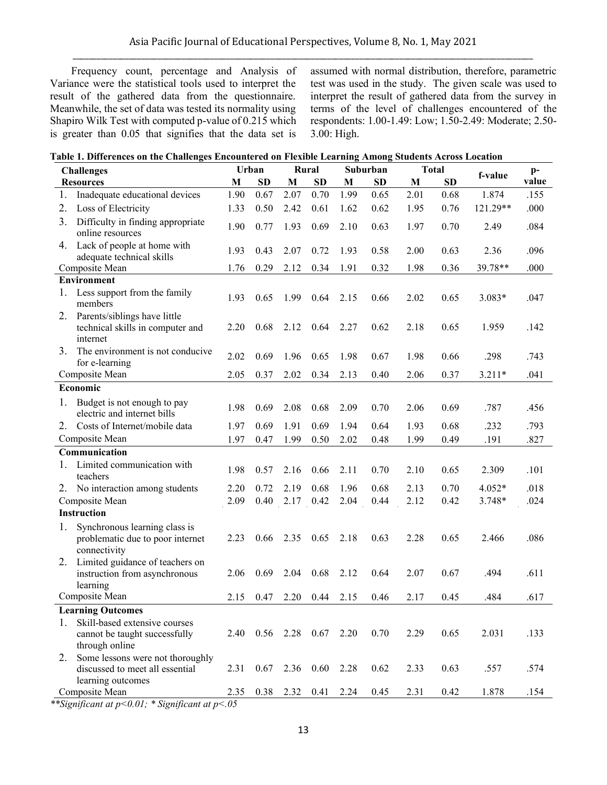Frequency count, percentage and Analysis of Variance were the statistical tools used to interpret the result of the gathered data from the questionnaire. Meanwhile, the set of data was tested its normality using Shapiro Wilk Test with computed p-value of 0.215 which is greater than 0.05 that signifies that the data set is

assumed with normal distribution, therefore, parametric test was used in the study.The given scale was used to interpret the result of gathered data from the survey in terms of the level of challenges encountered of the respondents: 1.00-1.49: Low; 1.50-2.49: Moderate; 2.50- 3.00: High.

| Table 1. Differences on the Challenges Encountered on Flexible Learning Among Students Across Location |  |
|--------------------------------------------------------------------------------------------------------|--|
|--------------------------------------------------------------------------------------------------------|--|

| f-value<br>value<br><b>SD</b><br>M<br><b>SD</b><br>M<br><b>SD</b><br>M<br>M<br><b>SD</b><br><b>Resources</b><br>1.90<br>0.67<br>2.07<br>0.70<br>1.99<br>0.65<br>1.874<br>Inadequate educational devices<br>2.01<br>0.68<br>.155<br>1.<br>1.62<br>1.95<br>121.29**<br>.000<br>2.<br>Loss of Electricity<br>1.33<br>0.50<br>2.42<br>0.61<br>0.62<br>0.76<br>3.<br>Difficulty in finding appropriate<br>1.90<br>1.93<br>0.69<br>2.10<br>1.97<br>.084<br>0.77<br>0.63<br>0.70<br>2.49<br>online resources<br>Lack of people at home with<br>4.<br>1.93<br>0.43<br>2.07<br>0.72<br>1.93<br>0.58<br>2.00<br>0.63<br>2.36<br>.096<br>adequate technical skills<br>39.78**<br>0.29<br>2.12<br>0.34<br>1.91<br>0.32<br>1.98<br>0.36<br>.000<br>Composite Mean<br>1.76<br><b>Environment</b><br>1.<br>Less support from the family<br>1.93<br>0.65<br>1.99<br>0.64<br>2.15<br>2.02<br>0.65<br>3.083*<br>.047<br>0.66<br>members<br>2.<br>Parents/siblings have little<br>2.20<br>0.68<br>2.27<br>2.18<br>1.959<br>technical skills in computer and<br>2.12<br>0.64<br>0.62<br>0.65<br>.142<br>internet<br>The environment is not conducive<br>3.<br>2.02<br>0.69<br>1.96<br>1.98<br>1.98<br>.298<br>.743<br>0.65<br>0.67<br>0.66<br>for e-learning<br>Composite Mean<br>2.05<br>0.37<br>2.02<br>0.34<br>0.37<br>$3.211*$<br>.041<br>2.13<br>0.40<br>2.06<br>Economic<br>1.<br>Budget is not enough to pay<br>1.98<br>0.69<br>2.08<br>0.68<br>2.09<br>2.06<br>0.69<br>.787<br>.456<br>0.70<br>electric and internet bills<br>.232<br>.793<br>Costs of Internet/mobile data<br>1.97<br>0.69<br>1.91<br>0.69<br>1.94<br>1.93<br>0.68<br>2.<br>0.64<br>Composite Mean<br>0.50<br>.827<br>1.97<br>0.47<br>1.99<br>2.02<br>0.48<br>1.99<br>0.49<br>.191 |
|-----------------------------------------------------------------------------------------------------------------------------------------------------------------------------------------------------------------------------------------------------------------------------------------------------------------------------------------------------------------------------------------------------------------------------------------------------------------------------------------------------------------------------------------------------------------------------------------------------------------------------------------------------------------------------------------------------------------------------------------------------------------------------------------------------------------------------------------------------------------------------------------------------------------------------------------------------------------------------------------------------------------------------------------------------------------------------------------------------------------------------------------------------------------------------------------------------------------------------------------------------------------------------------------------------------------------------------------------------------------------------------------------------------------------------------------------------------------------------------------------------------------------------------------------------------------------------------------------------------------------------------------------------------------------------------------------------------------------------------------|
|                                                                                                                                                                                                                                                                                                                                                                                                                                                                                                                                                                                                                                                                                                                                                                                                                                                                                                                                                                                                                                                                                                                                                                                                                                                                                                                                                                                                                                                                                                                                                                                                                                                                                                                                         |
|                                                                                                                                                                                                                                                                                                                                                                                                                                                                                                                                                                                                                                                                                                                                                                                                                                                                                                                                                                                                                                                                                                                                                                                                                                                                                                                                                                                                                                                                                                                                                                                                                                                                                                                                         |
|                                                                                                                                                                                                                                                                                                                                                                                                                                                                                                                                                                                                                                                                                                                                                                                                                                                                                                                                                                                                                                                                                                                                                                                                                                                                                                                                                                                                                                                                                                                                                                                                                                                                                                                                         |
|                                                                                                                                                                                                                                                                                                                                                                                                                                                                                                                                                                                                                                                                                                                                                                                                                                                                                                                                                                                                                                                                                                                                                                                                                                                                                                                                                                                                                                                                                                                                                                                                                                                                                                                                         |
|                                                                                                                                                                                                                                                                                                                                                                                                                                                                                                                                                                                                                                                                                                                                                                                                                                                                                                                                                                                                                                                                                                                                                                                                                                                                                                                                                                                                                                                                                                                                                                                                                                                                                                                                         |
|                                                                                                                                                                                                                                                                                                                                                                                                                                                                                                                                                                                                                                                                                                                                                                                                                                                                                                                                                                                                                                                                                                                                                                                                                                                                                                                                                                                                                                                                                                                                                                                                                                                                                                                                         |
|                                                                                                                                                                                                                                                                                                                                                                                                                                                                                                                                                                                                                                                                                                                                                                                                                                                                                                                                                                                                                                                                                                                                                                                                                                                                                                                                                                                                                                                                                                                                                                                                                                                                                                                                         |
|                                                                                                                                                                                                                                                                                                                                                                                                                                                                                                                                                                                                                                                                                                                                                                                                                                                                                                                                                                                                                                                                                                                                                                                                                                                                                                                                                                                                                                                                                                                                                                                                                                                                                                                                         |
|                                                                                                                                                                                                                                                                                                                                                                                                                                                                                                                                                                                                                                                                                                                                                                                                                                                                                                                                                                                                                                                                                                                                                                                                                                                                                                                                                                                                                                                                                                                                                                                                                                                                                                                                         |
|                                                                                                                                                                                                                                                                                                                                                                                                                                                                                                                                                                                                                                                                                                                                                                                                                                                                                                                                                                                                                                                                                                                                                                                                                                                                                                                                                                                                                                                                                                                                                                                                                                                                                                                                         |
|                                                                                                                                                                                                                                                                                                                                                                                                                                                                                                                                                                                                                                                                                                                                                                                                                                                                                                                                                                                                                                                                                                                                                                                                                                                                                                                                                                                                                                                                                                                                                                                                                                                                                                                                         |
|                                                                                                                                                                                                                                                                                                                                                                                                                                                                                                                                                                                                                                                                                                                                                                                                                                                                                                                                                                                                                                                                                                                                                                                                                                                                                                                                                                                                                                                                                                                                                                                                                                                                                                                                         |
|                                                                                                                                                                                                                                                                                                                                                                                                                                                                                                                                                                                                                                                                                                                                                                                                                                                                                                                                                                                                                                                                                                                                                                                                                                                                                                                                                                                                                                                                                                                                                                                                                                                                                                                                         |
|                                                                                                                                                                                                                                                                                                                                                                                                                                                                                                                                                                                                                                                                                                                                                                                                                                                                                                                                                                                                                                                                                                                                                                                                                                                                                                                                                                                                                                                                                                                                                                                                                                                                                                                                         |
|                                                                                                                                                                                                                                                                                                                                                                                                                                                                                                                                                                                                                                                                                                                                                                                                                                                                                                                                                                                                                                                                                                                                                                                                                                                                                                                                                                                                                                                                                                                                                                                                                                                                                                                                         |
| Communication                                                                                                                                                                                                                                                                                                                                                                                                                                                                                                                                                                                                                                                                                                                                                                                                                                                                                                                                                                                                                                                                                                                                                                                                                                                                                                                                                                                                                                                                                                                                                                                                                                                                                                                           |
| Limited communication with<br>1.<br>1.98<br>2.11<br>2.10<br>.101<br>0.57<br>2.16<br>0.66<br>0.70<br>0.65<br>2.309<br>teachers                                                                                                                                                                                                                                                                                                                                                                                                                                                                                                                                                                                                                                                                                                                                                                                                                                                                                                                                                                                                                                                                                                                                                                                                                                                                                                                                                                                                                                                                                                                                                                                                           |
| 4.052*<br>.018<br>2. No interaction among students<br>2.20<br>0.72<br>2.19<br>0.68<br>1.96<br>0.68<br>2.13<br>0.70                                                                                                                                                                                                                                                                                                                                                                                                                                                                                                                                                                                                                                                                                                                                                                                                                                                                                                                                                                                                                                                                                                                                                                                                                                                                                                                                                                                                                                                                                                                                                                                                                      |
| Composite Mean<br>2.09<br>0.40<br>0.42<br>2.04<br>0.44<br>2.12<br>3.748*<br>.024<br>2.17<br>0.42                                                                                                                                                                                                                                                                                                                                                                                                                                                                                                                                                                                                                                                                                                                                                                                                                                                                                                                                                                                                                                                                                                                                                                                                                                                                                                                                                                                                                                                                                                                                                                                                                                        |
| <b>Instruction</b>                                                                                                                                                                                                                                                                                                                                                                                                                                                                                                                                                                                                                                                                                                                                                                                                                                                                                                                                                                                                                                                                                                                                                                                                                                                                                                                                                                                                                                                                                                                                                                                                                                                                                                                      |
| 1.<br>Synchronous learning class is<br>.086<br>2.23<br>0.66<br>2.35<br>0.65<br>2.18<br>0.63<br>2.28<br>0.65<br>2.466<br>problematic due to poor internet<br>connectivity                                                                                                                                                                                                                                                                                                                                                                                                                                                                                                                                                                                                                                                                                                                                                                                                                                                                                                                                                                                                                                                                                                                                                                                                                                                                                                                                                                                                                                                                                                                                                                |
| Limited guidance of teachers on<br>2.<br>0.68<br>2.06<br>0.69<br>2.04<br>2.12<br>0.64<br>2.07<br>0.67<br>.494<br>.611<br>instruction from asynchronous<br>learning                                                                                                                                                                                                                                                                                                                                                                                                                                                                                                                                                                                                                                                                                                                                                                                                                                                                                                                                                                                                                                                                                                                                                                                                                                                                                                                                                                                                                                                                                                                                                                      |
| Composite Mean<br>2.20<br>0.44<br>2.15<br>0.45<br>.484<br>2.15<br>0.47<br>0.46<br>2.17<br>.617                                                                                                                                                                                                                                                                                                                                                                                                                                                                                                                                                                                                                                                                                                                                                                                                                                                                                                                                                                                                                                                                                                                                                                                                                                                                                                                                                                                                                                                                                                                                                                                                                                          |
| <b>Learning Outcomes</b>                                                                                                                                                                                                                                                                                                                                                                                                                                                                                                                                                                                                                                                                                                                                                                                                                                                                                                                                                                                                                                                                                                                                                                                                                                                                                                                                                                                                                                                                                                                                                                                                                                                                                                                |
| Skill-based extensive courses<br>1.<br>2.28<br>0.67<br>0.70<br>0.65<br>2.031<br>.133<br>2.40<br>0.56<br>2.20<br>2.29<br>cannot be taught successfully<br>through online                                                                                                                                                                                                                                                                                                                                                                                                                                                                                                                                                                                                                                                                                                                                                                                                                                                                                                                                                                                                                                                                                                                                                                                                                                                                                                                                                                                                                                                                                                                                                                 |
| Some lessons were not thoroughly<br>2.<br>2.31<br>0.67<br>0.60<br>0.63<br>.574<br>discussed to meet all essential<br>2.36<br>2.28<br>0.62<br>2.33<br>.557<br>learning outcomes                                                                                                                                                                                                                                                                                                                                                                                                                                                                                                                                                                                                                                                                                                                                                                                                                                                                                                                                                                                                                                                                                                                                                                                                                                                                                                                                                                                                                                                                                                                                                          |
| Composite Mean<br>0.38<br>2.31<br>0.42<br>1.878<br>.154<br>2.32<br>0.41<br>2.24<br>0.45<br>2.35                                                                                                                                                                                                                                                                                                                                                                                                                                                                                                                                                                                                                                                                                                                                                                                                                                                                                                                                                                                                                                                                                                                                                                                                                                                                                                                                                                                                                                                                                                                                                                                                                                         |

*\*\*Significant at p<0.01; \* Significant at p<.05*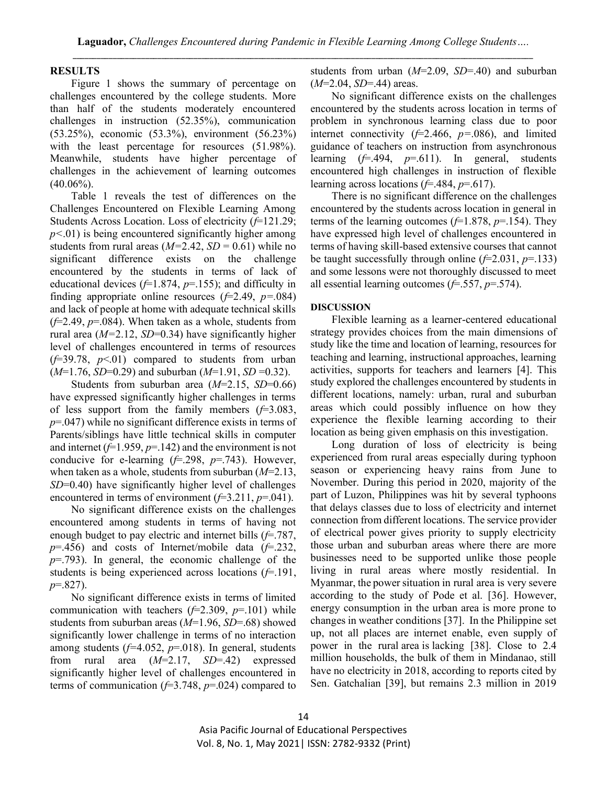#### **RESULTS**

Figure 1 shows the summary of percentage on challenges encountered by the college students. More than half of the students moderately encountered challenges in instruction (52.35%), communication (53.25%), economic (53.3%), environment (56.23%) with the least percentage for resources (51.98%). Meanwhile, students have higher percentage of challenges in the achievement of learning outcomes  $(40.06\%)$ .

Table 1 reveals the test of differences on the Challenges Encountered on Flexible Learning Among Students Across Location. Loss of electricity (*f*=121.29; *p<*.01) is being encountered significantly higher among students from rural areas  $(M=2.42, SD=0.61)$  while no significant difference exists on the challenge encountered by the students in terms of lack of educational devices (*f*=1.874, *p*=.155); and difficulty in finding appropriate online resources  $(f=2.49, p=.084)$ and lack of people at home with adequate technical skills  $(f=2.49, p=.084)$ . When taken as a whole, students from rural area (*M=*2.12, *SD*=0.34) have significantly higher level of challenges encountered in terms of resources  $(f=39.78, p<01)$  compared to students from urban (*M*=1.76, *SD*=0.29) and suburban (*M*=1.91, *SD* =0.32).

Students from suburban area (*M*=2.15, *SD*=0.66) have expressed significantly higher challenges in terms of less support from the family members (*f*=3.083, *p*=.047) while no significant difference exists in terms of Parents/siblings have little technical skills in computer and internet  $(f=1.959, p=.142)$  and the environment is not conducive for e-learning (*f*=.298, *p*=.743). However, when taken as a whole, students from suburban (*M*=2.13, *SD*=0.40) have significantly higher level of challenges encountered in terms of environment  $(f=3.211, p=.041)$ .

No significant difference exists on the challenges encountered among students in terms of having not enough budget to pay electric and internet bills (*f*=.787, *p*=.456) and costs of Internet/mobile data (*f*=.232, *p*=.793). In general, the economic challenge of the students is being experienced across locations (*f*=.191, *p*=.827).

No significant difference exists in terms of limited communication with teachers (*f*=2.309, *p*=.101) while students from suburban areas (*M*=1.96, *SD*=.68) showed significantly lower challenge in terms of no interaction among students (*f=*4.052, *p*=.018). In general, students from rural area (*M*=2.17, *SD*=.42) expressed significantly higher level of challenges encountered in terms of communication (*f*=3.748, *p*=.024) compared to

students from urban (*M*=2.09, *SD*=.40) and suburban (*M*=2.04, *SD*=.44) areas.

No significant difference exists on the challenges encountered by the students across location in terms of problem in synchronous learning class due to poor internet connectivity (*f*=2.466, *p=*.086), and limited guidance of teachers on instruction from asynchronous learning (*f*=.494, *p*=.611). In general, students encountered high challenges in instruction of flexible learning across locations (*f*=.484, *p*=.617).

There is no significant difference on the challenges encountered by the students across location in general in terms of the learning outcomes (*f*=1.878, *p*=.154). They have expressed high level of challenges encountered in terms of having skill-based extensive courses that cannot be taught successfully through online (*f*=2.031, *p*=.133) and some lessons were not thoroughly discussed to meet all essential learning outcomes (*f*=.557, *p*=.574).

#### **DISCUSSION**

Flexible learning as a learner-centered educational strategy provides choices from the main dimensions of study like the time and location of learning, resources for teaching and learning, instructional approaches, learning activities, supports for teachers and learners [4]. This study explored the challenges encountered by students in different locations, namely: urban, rural and suburban areas which could possibly influence on how they experience the flexible learning according to their location as being given emphasis on this investigation.

Long duration of loss of electricity is being experienced from rural areas especially during typhoon season or experiencing heavy rains from June to November. During this period in 2020, majority of the part of Luzon, Philippines was hit by several typhoons that delays classes due to loss of electricity and internet connection from different locations. The service provider of electrical power gives priority to supply electricity those urban and suburban areas where there are more businesses need to be supported unlike those people living in rural areas where mostly residential. In Myanmar, the power situation in rural area is very severe according to the study of Pode et al. [36]. However, energy consumption in the urban area is more prone to changes in weather conditions [37]. In the Philippine set up, not all places are internet enable, even supply of power in the rural area is lacking [38]. Close to 2.4 million households, the bulk of them in Mindanao, still have no electricity in 2018, according to reports cited by Sen. Gatchalian [39], but remains 2.3 million in 2019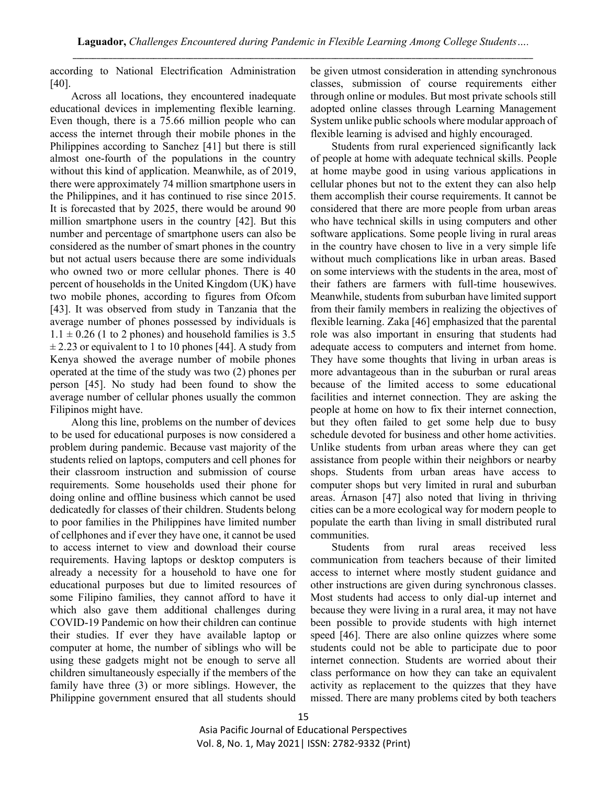according to National Electrification Administration [40].

Across all locations, they encountered inadequate educational devices in implementing flexible learning. Even though, there is a 75.66 million people who can access the internet through their mobile phones in the Philippines according to Sanchez [41] but there is still almost one-fourth of the populations in the country without this kind of application. Meanwhile, as of 2019, there were approximately 74 million smartphone users in the Philippines, and it has continued to rise since 2015. It is forecasted that by 2025, there would be around 90 million smartphone users in the country [42]. But this number and percentage of smartphone users can also be considered as the number of smart phones in the country but not actual users because there are some individuals who owned two or more cellular phones. There is 40 percent of households in the United Kingdom (UK) have two mobile phones, according to figures from Ofcom [43]. It was observed from study in Tanzania that the average number of phones possessed by individuals is  $1.1 \pm 0.26$  (1 to 2 phones) and household families is 3.5  $\pm$  2.23 or equivalent to 1 to 10 phones [44]. A study from Kenya showed the average number of mobile phones operated at the time of the study was two (2) phones per person [45]. No study had been found to show the average number of cellular phones usually the common Filipinos might have.

Along this line, problems on the number of devices to be used for educational purposes is now considered a problem during pandemic. Because vast majority of the students relied on laptops, computers and cell phones for their classroom instruction and submission of course requirements. Some households used their phone for doing online and offline business which cannot be used dedicatedly for classes of their children. Students belong to poor families in the Philippines have limited number of cellphones and if ever they have one, it cannot be used to access internet to view and download their course requirements. Having laptops or desktop computers is already a necessity for a household to have one for educational purposes but due to limited resources of some Filipino families, they cannot afford to have it which also gave them additional challenges during COVID-19 Pandemic on how their children can continue their studies. If ever they have available laptop or computer at home, the number of siblings who will be using these gadgets might not be enough to serve all children simultaneously especially if the members of the family have three (3) or more siblings. However, the Philippine government ensured that all students should

be given utmost consideration in attending synchronous classes, submission of course requirements either through online or modules. But most private schools still adopted online classes through Learning Management System unlike public schools where modular approach of flexible learning is advised and highly encouraged.

Students from rural experienced significantly lack of people at home with adequate technical skills. People at home maybe good in using various applications in cellular phones but not to the extent they can also help them accomplish their course requirements. It cannot be considered that there are more people from urban areas who have technical skills in using computers and other software applications. Some people living in rural areas in the country have chosen to live in a very simple life without much complications like in urban areas. Based on some interviews with the students in the area, most of their fathers are farmers with full-time housewives. Meanwhile, students from suburban have limited support from their family members in realizing the objectives of flexible learning. Zaka [46] emphasized that the parental role was also important in ensuring that students had adequate access to computers and internet from home. They have some thoughts that living in urban areas is more advantageous than in the suburban or rural areas because of the limited access to some educational facilities and internet connection. They are asking the people at home on how to fix their internet connection, but they often failed to get some help due to busy schedule devoted for business and other home activities. Unlike students from urban areas where they can get assistance from people within their neighbors or nearby shops. Students from urban areas have access to computer shops but very limited in rural and suburban areas. Árnason [47] also noted that living in thriving cities can be a more ecological way for modern people to populate the earth than living in small distributed rural communities.

Students from rural areas received less communication from teachers because of their limited access to internet where mostly student guidance and other instructions are given during synchronous classes. Most students had access to only dial-up internet and because they were living in a rural area, it may not have been possible to provide students with high internet speed [46]. There are also online quizzes where some students could not be able to participate due to poor internet connection. Students are worried about their class performance on how they can take an equivalent activity as replacement to the quizzes that they have missed. There are many problems cited by both teachers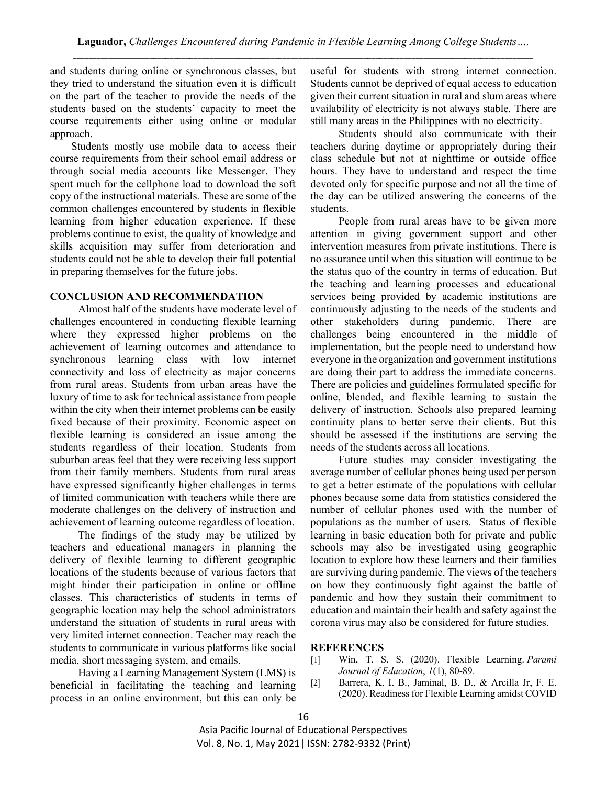and students during online or synchronous classes, but they tried to understand the situation even it is difficult on the part of the teacher to provide the needs of the students based on the students' capacity to meet the course requirements either using online or modular approach.

Students mostly use mobile data to access their course requirements from their school email address or through social media accounts like Messenger. They spent much for the cellphone load to download the soft copy of the instructional materials. These are some of the common challenges encountered by students in flexible learning from higher education experience. If these problems continue to exist, the quality of knowledge and skills acquisition may suffer from deterioration and students could not be able to develop their full potential in preparing themselves for the future jobs.

# **CONCLUSION AND RECOMMENDATION**

Almost half of the students have moderate level of challenges encountered in conducting flexible learning where they expressed higher problems on the achievement of learning outcomes and attendance to synchronous learning class with low internet connectivity and loss of electricity as major concerns from rural areas. Students from urban areas have the luxury of time to ask for technical assistance from people within the city when their internet problems can be easily fixed because of their proximity. Economic aspect on flexible learning is considered an issue among the students regardless of their location. Students from suburban areas feel that they were receiving less support from their family members. Students from rural areas have expressed significantly higher challenges in terms of limited communication with teachers while there are moderate challenges on the delivery of instruction and achievement of learning outcome regardless of location.

The findings of the study may be utilized by teachers and educational managers in planning the delivery of flexible learning to different geographic locations of the students because of various factors that might hinder their participation in online or offline classes. This characteristics of students in terms of geographic location may help the school administrators understand the situation of students in rural areas with very limited internet connection. Teacher may reach the students to communicate in various platforms like social media, short messaging system, and emails.

Having a Learning Management System (LMS) is beneficial in facilitating the teaching and learning process in an online environment, but this can only be useful for students with strong internet connection. Students cannot be deprived of equal access to education given their current situation in rural and slum areas where availability of electricity is not always stable. There are still many areas in the Philippines with no electricity.

Students should also communicate with their teachers during daytime or appropriately during their class schedule but not at nighttime or outside office hours. They have to understand and respect the time devoted only for specific purpose and not all the time of the day can be utilized answering the concerns of the students.

People from rural areas have to be given more attention in giving government support and other intervention measures from private institutions. There is no assurance until when this situation will continue to be the status quo of the country in terms of education. But the teaching and learning processes and educational services being provided by academic institutions are continuously adjusting to the needs of the students and other stakeholders during pandemic. There are challenges being encountered in the middle of implementation, but the people need to understand how everyone in the organization and government institutions are doing their part to address the immediate concerns. There are policies and guidelines formulated specific for online, blended, and flexible learning to sustain the delivery of instruction. Schools also prepared learning continuity plans to better serve their clients. But this should be assessed if the institutions are serving the needs of the students across all locations.

Future studies may consider investigating the average number of cellular phones being used per person to get a better estimate of the populations with cellular phones because some data from statistics considered the number of cellular phones used with the number of populations as the number of users. Status of flexible learning in basic education both for private and public schools may also be investigated using geographic location to explore how these learners and their families are surviving during pandemic. The views of the teachers on how they continuously fight against the battle of pandemic and how they sustain their commitment to education and maintain their health and safety against the corona virus may also be considered for future studies.

### **REFERENCES**

- [1] Win, T. S. S. (2020). Flexible Learning. *Parami Journal of Education*, *1*(1), 80-89.
- [2] Barrera, K. I. B., Jaminal, B. D., & Arcilla Jr, F. E. (2020). Readiness for Flexible Learning amidst COVID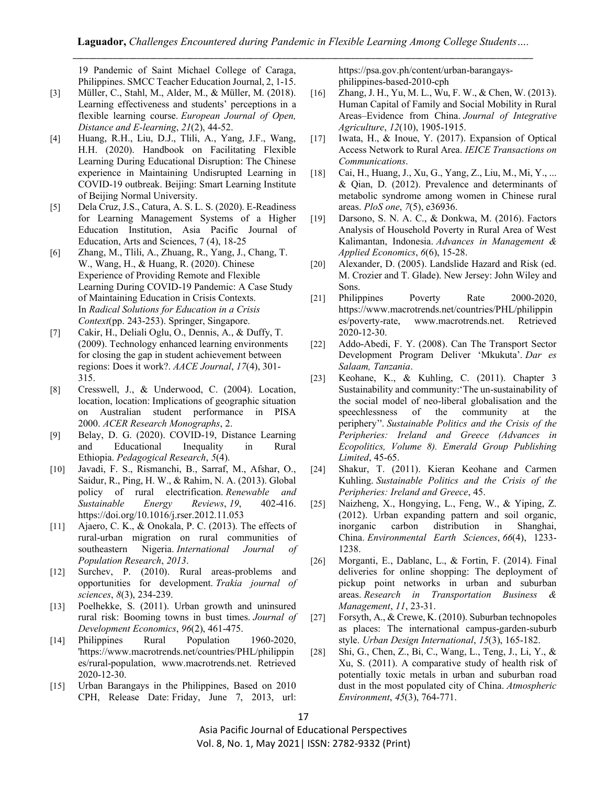19 Pandemic of Saint Michael College of Caraga, Philippines. SMCC Teacher Education Journal, 2, 1-15.

- [3] Müller, C., Stahl, M., Alder, M., & Müller, M. (2018). Learning effectiveness and students' perceptions in a flexible learning course. *European Journal of Open, Distance and E-learning*, *21*(2), 44-52.
- [4] Huang, R.H., Liu, D.J., Tlili, A., Yang, J.F., Wang, H.H. (2020). Handbook on Facilitating Flexible Learning During Educational Disruption: The Chinese experience in Maintaining Undisrupted Learning in COVID-19 outbreak. Beijing: Smart Learning Institute of Beijing Normal University.
- [5] Dela Cruz, J.S., Catura, A. S. L. S. (2020). E-Readiness for Learning Management Systems of a Higher Education Institution, Asia Pacific Journal of Education, Arts and Sciences, 7 (4), 18-25
- [6] Zhang, M., Tlili, A., Zhuang, R., Yang, J., Chang, T. W., Wang, H., & Huang, R. (2020). Chinese Experience of Providing Remote and Flexible Learning During COVID-19 Pandemic: A Case Study of Maintaining Education in Crisis Contexts. In *Radical Solutions for Education in a Crisis Context*(pp. 243-253). Springer, Singapore.
- [7] Cakir, H., Deliali Oglu, O., Dennis, A., & Duffy, T. (2009). Technology enhanced learning environments for closing the gap in student achievement between regions: Does it work?. *AACE Journal*, *17*(4), 301- 315.
- [8] Cresswell, J., & Underwood, C. (2004). Location, location, location: Implications of geographic situation on Australian student performance in PISA 2000. *ACER Research Monographs*, 2.
- [9] Belay, D. G. (2020). COVID-19, Distance Learning and Educational Inequality in Rural Ethiopia. *Pedagogical Research*, *5*(4).
- [10] Javadi, F. S., Rismanchi, B., Sarraf, M., Afshar, O., Saidur, R., Ping, H. W., & Rahim, N. A. (2013). Global policy of rural electrification. *Renewable and Sustainable Energy Reviews*, *19*, 402-416. https://doi.org/10.1016/j.rser.2012.11.053
- [11] Ajaero, C. K., & Onokala, P. C. (2013). The effects of rural-urban migration on rural communities of southeastern Nigeria. *International Journal of Population Research*, *2013*.
- [12] Surchev, P. (2010). Rural areas-problems and opportunities for development. *Trakia journal of sciences*, *8*(3), 234-239.
- [13] Poelhekke, S. (2011). Urban growth and uninsured rural risk: Booming towns in bust times. *Journal of Development Economics*, *96*(2), 461-475.
- [14] Philippines Rural Population 1960-2020, 'https://www.macrotrends.net/countries/PHL/philippin es/rural-population, www.macrotrends.net. Retrieved 2020-12-30.
- [15] Urban Barangays in the Philippines, Based on 2010 CPH, Release Date: Friday, June 7, 2013, url:

https://psa.gov.ph/content/urban-barangaysphilippines-based-2010-cph

- [16] Zhang, J. H., Yu, M. L., Wu, F. W., & Chen, W. (2013). Human Capital of Family and Social Mobility in Rural Areas–Evidence from China. *Journal of Integrative Agriculture*, *12*(10), 1905-1915.
- [17] Iwata, H., & Inoue, Y. (2017). Expansion of Optical Access Network to Rural Area. *IEICE Transactions on Communications*.
- [18] Cai, H., Huang, J., Xu, G., Yang, Z., Liu, M., Mi, Y., ... & Qian, D. (2012). Prevalence and determinants of metabolic syndrome among women in Chinese rural areas. *PloS one*, *7*(5), e36936.
- [19] Darsono, S. N. A. C., & Donkwa, M. (2016). Factors Analysis of Household Poverty in Rural Area of West Kalimantan, Indonesia. *Advances in Management & Applied Economics*, *6*(6), 15-28.
- [20] Alexander, D. (2005). Landslide Hazard and Risk (ed. M. Crozier and T. Glade). New Jersey: John Wiley and Sons.
- [21] Philippines Poverty Rate 2000-2020, https://www.macrotrends.net/countries/PHL/philippin es/poverty-rate, www.macrotrends.net. Retrieved 2020-12-30.
- [22] Addo-Abedi, F. Y. (2008). Can The Transport Sector Development Program Deliver 'Mkukuta'. *Dar es Salaam, Tanzania*.
- [23] Keohane, K., & Kuhling, C. (2011). Chapter 3 Sustainability and community:'The un-sustainability of the social model of neo-liberal globalisation and the speechlessness of the community at the periphery''. *Sustainable Politics and the Crisis of the Peripheries: Ireland and Greece (Advances in Ecopolitics, Volume 8). Emerald Group Publishing Limited*, 45-65.
- [24] Shakur, T. (2011). Kieran Keohane and Carmen Kuhling. *Sustainable Politics and the Crisis of the Peripheries: Ireland and Greece*, 45.
- [25] Naizheng, X., Hongying, L., Feng, W., & Yiping, Z. (2012). Urban expanding pattern and soil organic, inorganic carbon distribution in Shanghai, China. *Environmental Earth Sciences*, *66*(4), 1233- 1238.
- [26] Morganti, E., Dablanc, L., & Fortin, F. (2014). Final deliveries for online shopping: The deployment of pickup point networks in urban and suburban areas. *Research in Transportation Business & Management*, *11*, 23-31.
- [27] Forsyth, A., & Crewe, K. (2010). Suburban technopoles as places: The international campus-garden-suburb style. *Urban Design International*, *15*(3), 165-182.
- [28] Shi, G., Chen, Z., Bi, C., Wang, L., Teng, J., Li, Y., & Xu, S. (2011). A comparative study of health risk of potentially toxic metals in urban and suburban road dust in the most populated city of China. *Atmospheric Environment*, *45*(3), 764-771.